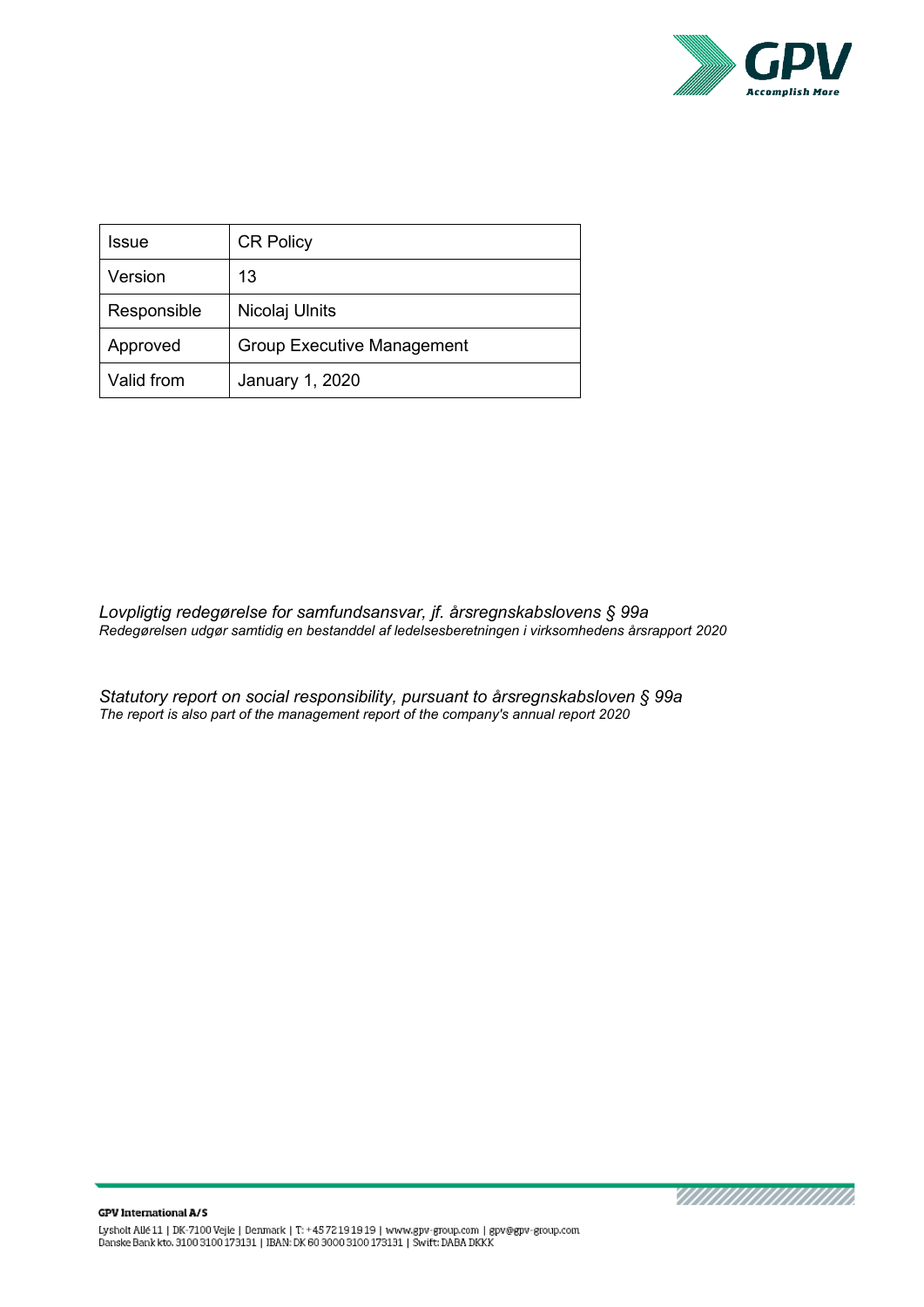

| Issue       | <b>CR Policy</b>                  |
|-------------|-----------------------------------|
| Version     | 13                                |
| Responsible | Nicolaj Ulnits                    |
| Approved    | <b>Group Executive Management</b> |
| Valid from  | January 1, 2020                   |

*Lovpligtig redegørelse for samfundsansvar, jf. årsregnskabslovens § 99a Redegørelsen udgør samtidig en bestanddel af ledelsesberetningen i virksomhedens årsrapport 2020*

*Statutory report on social responsibility, pursuant to årsregnskabsloven § 99a The report is also part of the management report of the company's annual report 2020*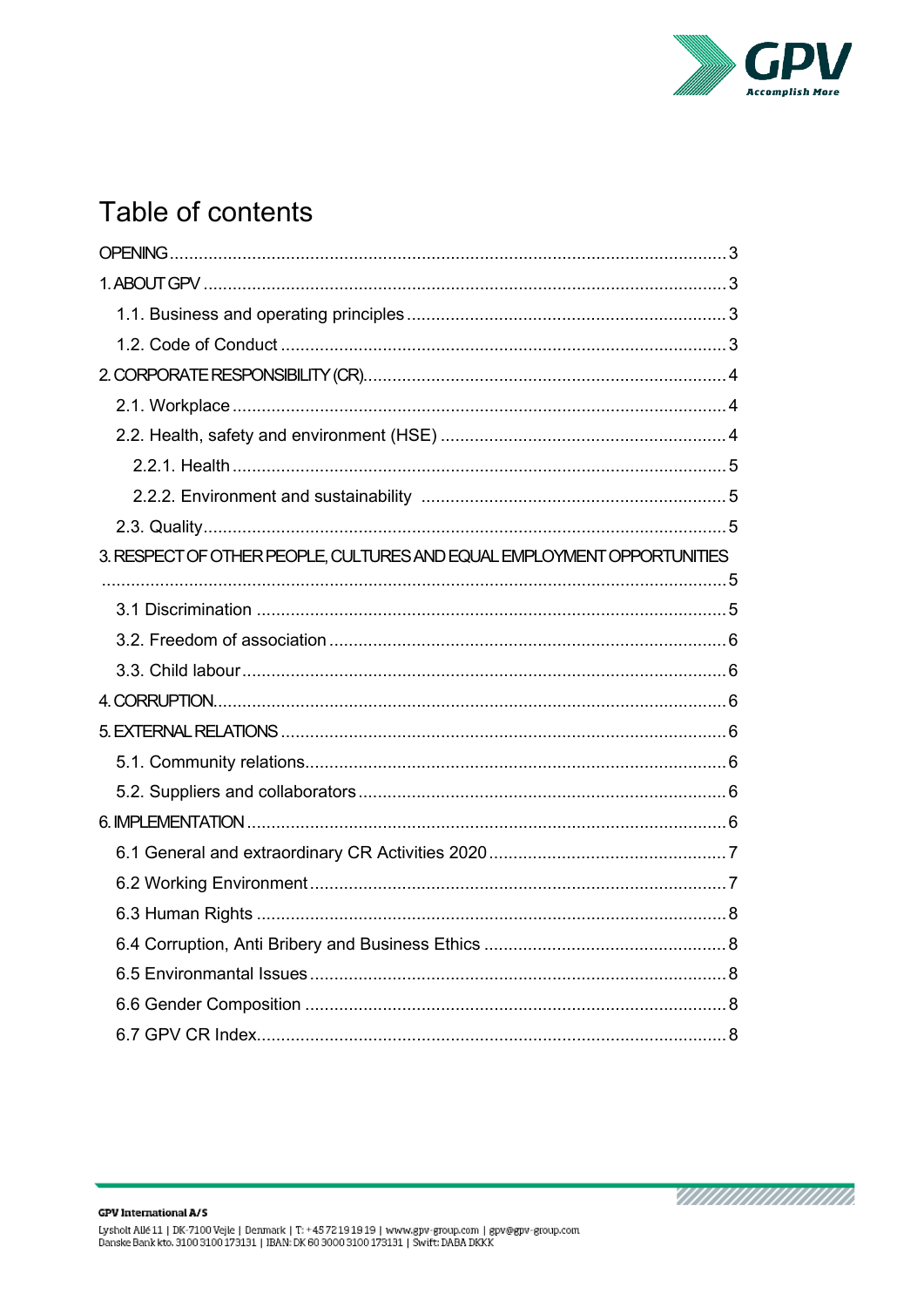

# Table of contents

| 3. RESPECT OF OTHER PEOPLE, CULTURES AND EQUAL EMPLOYMENT OPPORTUNITIES |
|-------------------------------------------------------------------------|
|                                                                         |
|                                                                         |
|                                                                         |
|                                                                         |
|                                                                         |
|                                                                         |
|                                                                         |
|                                                                         |
|                                                                         |
|                                                                         |
|                                                                         |
|                                                                         |
|                                                                         |
|                                                                         |
|                                                                         |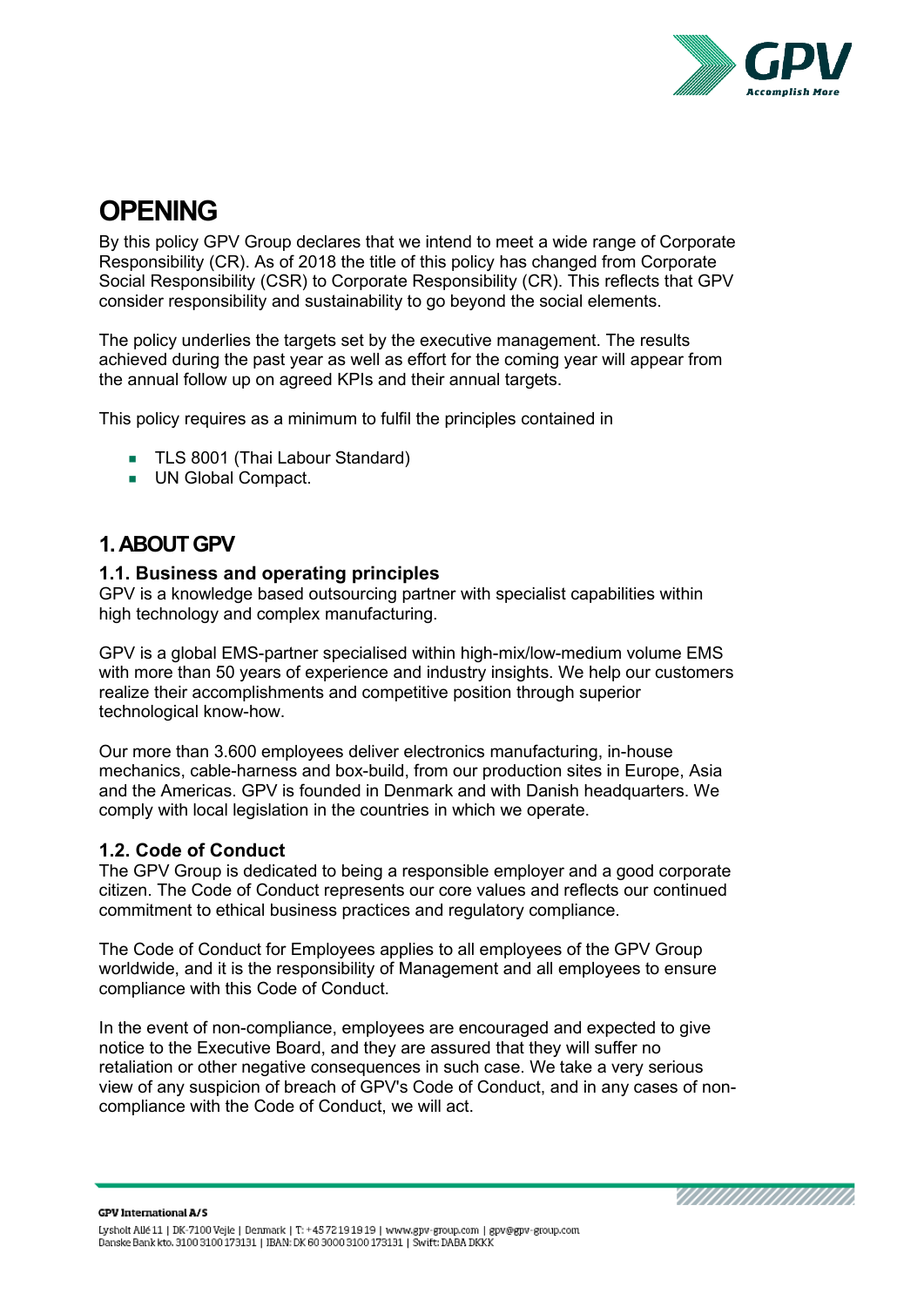

# <span id="page-2-0"></span>**OPENING**

By this policy GPV Group declares that we intend to meet a wide range of Corporate Responsibility (CR). As of 2018 the title of this policy has changed from Corporate Social Responsibility (CSR) to Corporate Responsibility (CR). This reflects that GPV consider responsibility and sustainability to go beyond the social elements.

The policy underlies the targets set by the executive management. The results achieved during the past year as well as effort for the coming year will appear from the annual follow up on agreed KPIs and their annual targets.

This policy requires as a minimum to fulfil the principles contained in

- **TLS 8001 (Thai Labour Standard)**
- UN Global Compact.

# <span id="page-2-1"></span>**1. ABOUT GPV**

#### <span id="page-2-2"></span>**1.1. Business and operating principles**

GPV is a knowledge based outsourcing partner with specialist capabilities within high technology and complex manufacturing.

GPV is a global EMS-partner specialised within high-mix/low-medium volume EMS with more than 50 years of experience and industry insights. We help our customers realize their accomplishments and competitive position through superior technological know-how.

Our more than 3.600 employees deliver electronics manufacturing, in-house mechanics, cable-harness and box-build, from our production sites in Europe, Asia and the Americas. GPV is founded in Denmark and with Danish headquarters. We comply with local legislation in the countries in which we operate.

#### <span id="page-2-3"></span>**1.2. Code of Conduct**

The GPV Group is dedicated to being a responsible employer and a good corporate citizen. The Code of Conduct represents our core values and reflects our continued commitment to ethical business practices and regulatory compliance.

The Code of Conduct for Employees applies to all employees of the GPV Group worldwide, and it is the responsibility of Management and all employees to ensure compliance with this Code of Conduct.

In the event of non-compliance, employees are encouraged and expected to give notice to the Executive Board, and they are assured that they will suffer no retaliation or other negative consequences in such case. We take a very serious view of any suspicion of breach of GPV's Code of Conduct, and in any cases of noncompliance with the Code of Conduct, we will act.

MAANAANAANAANA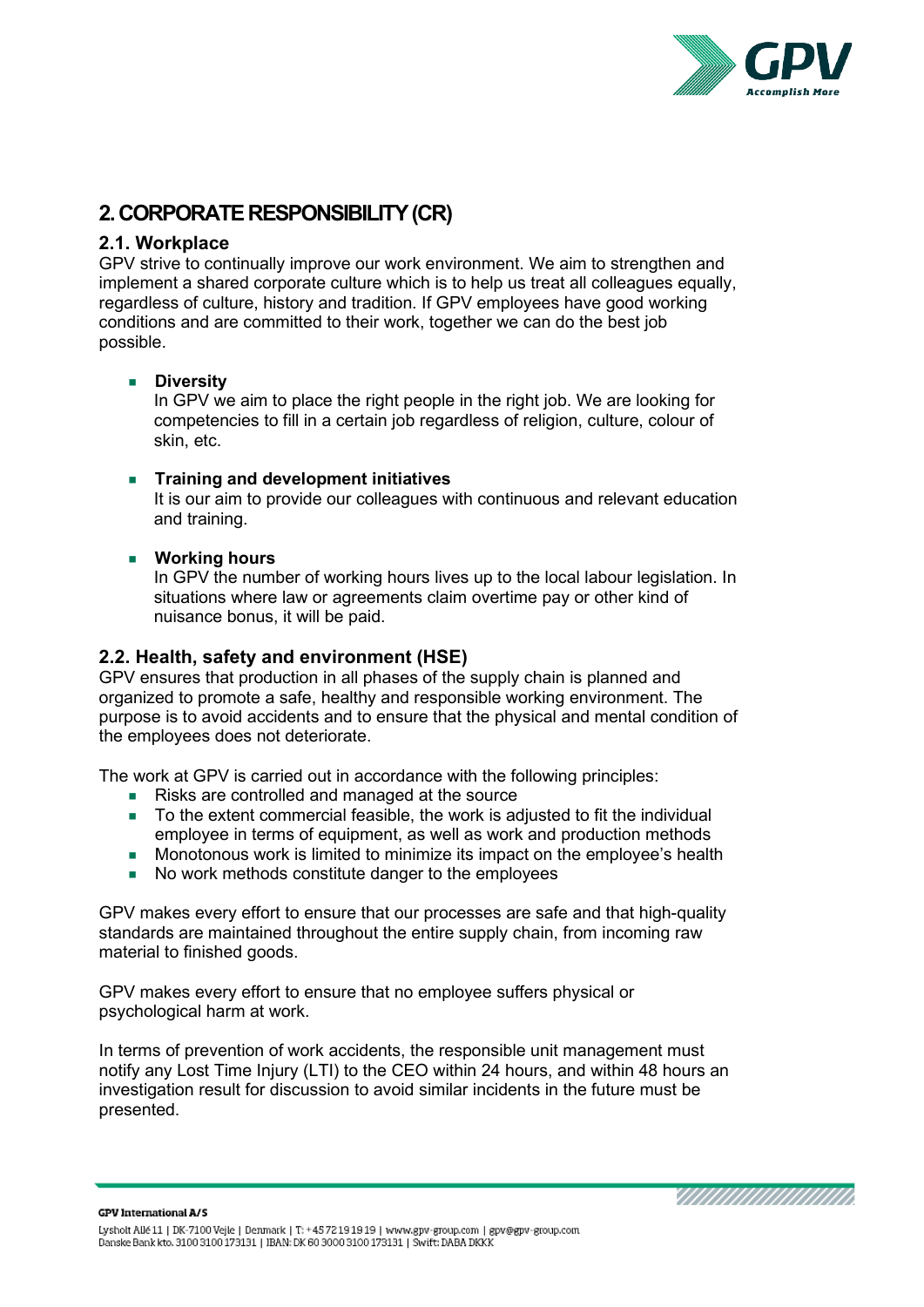

# <span id="page-3-0"></span>**2. CORPORATE RESPONSIBILITY (CR)**

#### <span id="page-3-1"></span>**2.1. Workplace**

GPV strive to continually improve our work environment. We aim to strengthen and implement a shared corporate culture which is to help us treat all colleagues equally, regardless of culture, history and tradition. If GPV employees have good working conditions and are committed to their work, together we can do the best job possible.

#### **Diversity**

In GPV we aim to place the right people in the right job. We are looking for competencies to fill in a certain job regardless of religion, culture, colour of skin, etc.

#### **Training and development initiatives**

It is our aim to provide our colleagues with continuous and relevant education and training.

#### **Working hours**

In GPV the number of working hours lives up to the local labour legislation. In situations where law or agreements claim overtime pay or other kind of nuisance bonus, it will be paid.

#### <span id="page-3-2"></span>**2.2. Health, safety and environment (HSE)**

GPV ensures that production in all phases of the supply chain is planned and organized to promote a safe, healthy and responsible working environment. The purpose is to avoid accidents and to ensure that the physical and mental condition of the employees does not deteriorate.

The work at GPV is carried out in accordance with the following principles:

- Risks are controlled and managed at the source
- To the extent commercial feasible, the work is adjusted to fit the individual employee in terms of equipment, as well as work and production methods
- Monotonous work is limited to minimize its impact on the employee's health
- No work methods constitute danger to the employees

GPV makes every effort to ensure that our processes are safe and that high-quality standards are maintained throughout the entire supply chain, from incoming raw material to finished goods.

GPV makes every effort to ensure that no employee suffers physical or psychological harm at work.

In terms of prevention of work accidents, the responsible unit management must notify any Lost Time Injury (LTI) to the CEO within 24 hours, and within 48 hours an investigation result for discussion to avoid similar incidents in the future must be presented.

**GPV International A/S** 

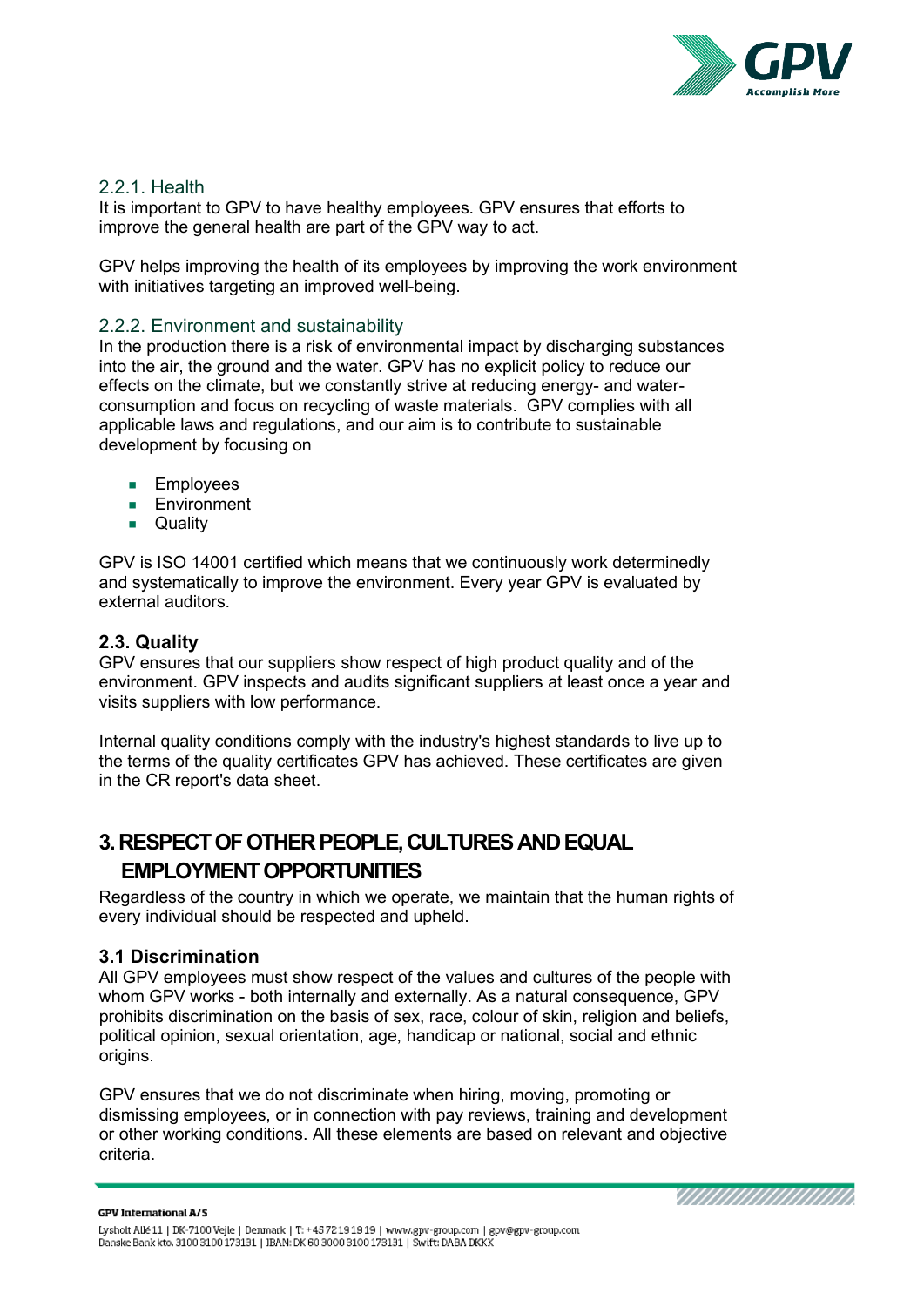

#### <span id="page-4-0"></span>2.2.1. Health

It is important to GPV to have healthy employees. GPV ensures that efforts to improve the general health are part of the GPV way to act.

GPV helps improving the health of its employees by improving the work environment with initiatives targeting an improved well-being.

#### <span id="page-4-1"></span>2.2.2. Environment and sustainability

In the production there is a risk of environmental impact by discharging substances into the air, the ground and the water. GPV has no explicit policy to reduce our effects on the climate, but we constantly strive at reducing energy- and waterconsumption and focus on recycling of waste materials. GPV complies with all applicable laws and regulations, and our aim is to contribute to sustainable development by focusing on

- **Employees**
- **Environment**
- **D** Quality

GPV is ISO 14001 certified which means that we continuously work determinedly and systematically to improve the environment. Every year GPV is evaluated by external auditors.

### <span id="page-4-2"></span>**2.3. Quality**

GPV ensures that our suppliers show respect of high product quality and of the environment. GPV inspects and audits significant suppliers at least once a year and visits suppliers with low performance.

Internal quality conditions comply with the industry's highest standards to live up to the terms of the quality certificates GPV has achieved. These certificates are given in the CR report's data sheet.

# <span id="page-4-3"></span>**3. RESPECT OF OTHER PEOPLE, CULTURES AND EQUAL EMPLOYMENT OPPORTUNITIES**

Regardless of the country in which we operate, we maintain that the human rights of every individual should be respected and upheld.

#### <span id="page-4-4"></span>**3.1 Discrimination**

All GPV employees must show respect of the values and cultures of the people with whom GPV works - both internally and externally. As a natural consequence, GPV prohibits discrimination on the basis of sex, race, colour of skin, religion and beliefs, political opinion, sexual orientation, age, handicap or national, social and ethnic origins.

GPV ensures that we do not discriminate when hiring, moving, promoting or dismissing employees, or in connection with pay reviews, training and development or other working conditions. All these elements are based on relevant and objective criteria.

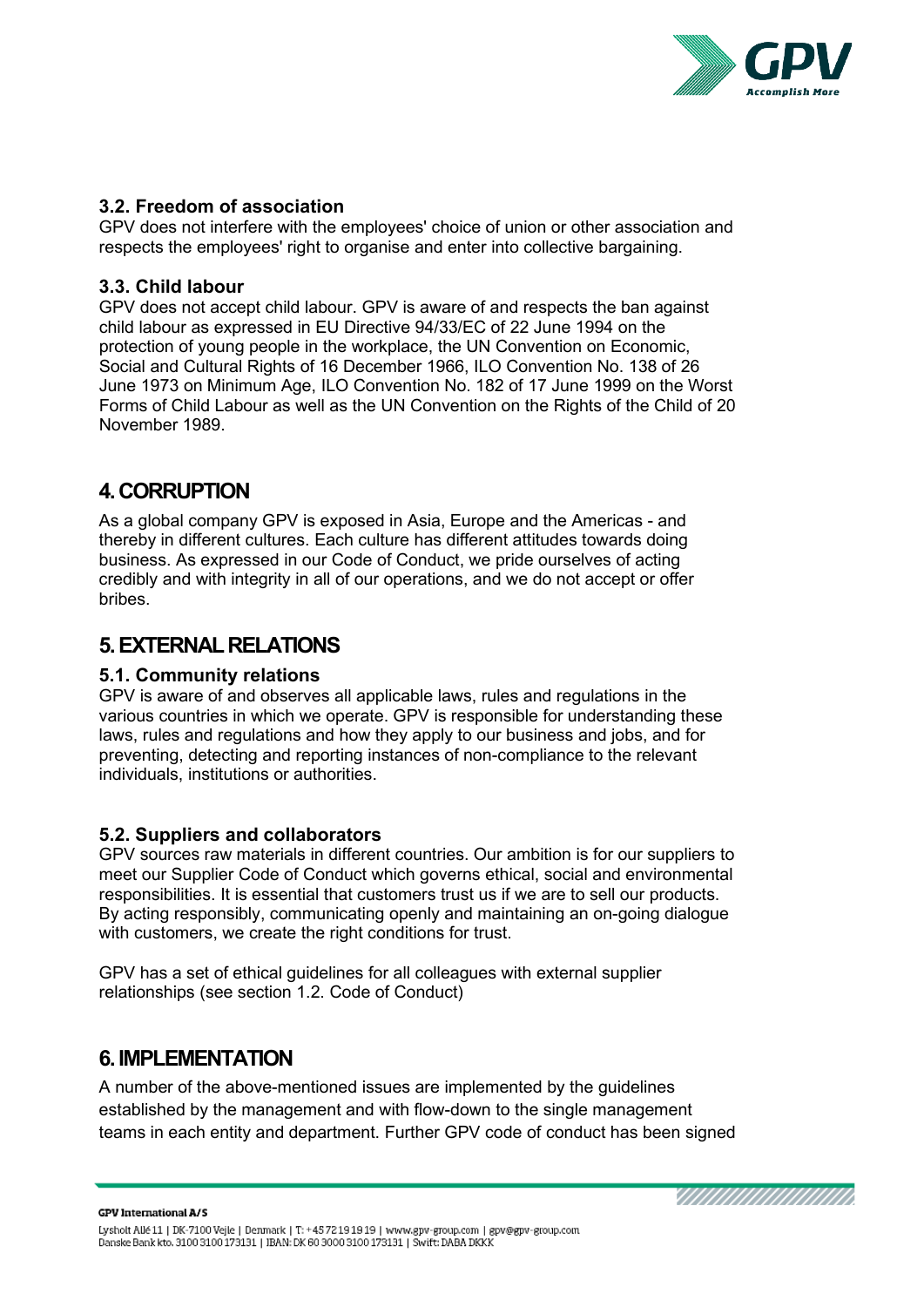

#### <span id="page-5-0"></span>**3.2. Freedom of association**

GPV does not interfere with the employees' choice of union or other association and respects the employees' right to organise and enter into collective bargaining.

#### <span id="page-5-1"></span>**3.3. Child labour**

GPV does not accept child labour. GPV is aware of and respects the ban against child labour as expressed in EU Directive 94/33/EC of 22 June 1994 on the protection of young people in the workplace, the UN Convention on Economic, Social and Cultural Rights of 16 December 1966, ILO Convention No. 138 of 26 June 1973 on Minimum Age, ILO Convention No. 182 of 17 June 1999 on the Worst Forms of Child Labour as well as the UN Convention on the Rights of the Child of 20 November 1989.

## <span id="page-5-2"></span>**4. CORRUPTION**

As a global company GPV is exposed in Asia, Europe and the Americas - and thereby in different cultures. Each culture has different attitudes towards doing business. As expressed in our Code of Conduct, we pride ourselves of acting credibly and with integrity in all of our operations, and we do not accept or offer bribes.

# <span id="page-5-3"></span>**5. EXTERNAL RELATIONS**

#### <span id="page-5-4"></span>**5.1. Community relations**

GPV is aware of and observes all applicable laws, rules and regulations in the various countries in which we operate. GPV is responsible for understanding these laws, rules and regulations and how they apply to our business and jobs, and for preventing, detecting and reporting instances of non-compliance to the relevant individuals, institutions or authorities.

#### <span id="page-5-5"></span>**5.2. Suppliers and collaborators**

GPV sources raw materials in different countries. Our ambition is for our suppliers to meet our Supplier Code of Conduct which governs ethical, social and environmental responsibilities. It is essential that customers trust us if we are to sell our products. By acting responsibly, communicating openly and maintaining an on-going dialogue with customers, we create the right conditions for trust.

GPV has a set of ethical guidelines for all colleagues with external supplier relationships (see section 1.2. Code of Conduct)

## <span id="page-5-6"></span>**6. IMPLEMENTATION**

A number of the above-mentioned issues are implemented by the guidelines established by the management and with flow-down to the single management teams in each entity and department. Further GPV code of conduct has been signed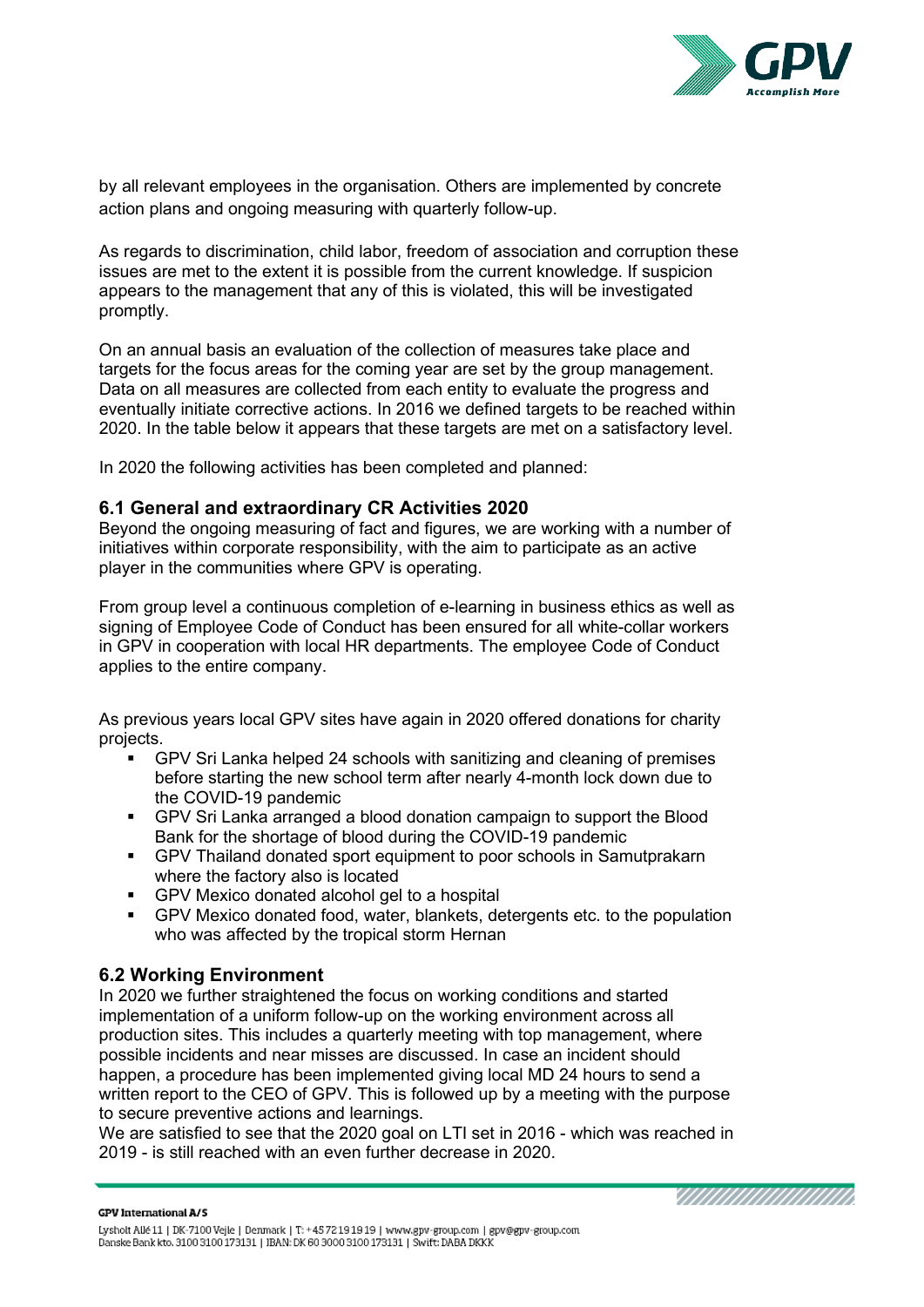

by all relevant employees in the organisation. Others are implemented by concrete action plans and ongoing measuring with quarterly follow-up.

As regards to discrimination, child labor, freedom of association and corruption these issues are met to the extent it is possible from the current knowledge. If suspicion appears to the management that any of this is violated, this will be investigated promptly.

On an annual basis an evaluation of the collection of measures take place and targets for the focus areas for the coming year are set by the group management. Data on all measures are collected from each entity to evaluate the progress and eventually initiate corrective actions. In 2016 we defined targets to be reached within 2020. In the table below it appears that these targets are met on a satisfactory level.

In 2020 the following activities has been completed and planned:

#### <span id="page-6-0"></span>**6.1 General and extraordinary CR Activities 2020**

Beyond the ongoing measuring of fact and figures, we are working with a number of initiatives within corporate responsibility, with the aim to participate as an active player in the communities where GPV is operating.

From group level a continuous completion of e-learning in business ethics as well as signing of Employee Code of Conduct has been ensured for all white-collar workers in GPV in cooperation with local HR departments. The employee Code of Conduct applies to the entire company.

As previous years local GPV sites have again in 2020 offered donations for charity projects.

- GPV Sri Lanka helped 24 schools with sanitizing and cleaning of premises before starting the new school term after nearly 4-month lock down due to the COVID-19 pandemic
- GPV Sri Lanka arranged a blood donation campaign to support the Blood Bank for the shortage of blood during the COVID-19 pandemic
- GPV Thailand donated sport equipment to poor schools in Samutprakarn where the factory also is located
- GPV Mexico donated alcohol gel to a hospital
- GPV Mexico donated food, water, blankets, detergents etc. to the population who was affected by the tropical storm Hernan

#### <span id="page-6-1"></span>**6.2 Working Environment**

In 2020 we further straightened the focus on working conditions and started implementation of a uniform follow-up on the working environment across all production sites. This includes a quarterly meeting with top management, where possible incidents and near misses are discussed. In case an incident should happen, a procedure has been implemented giving local MD 24 hours to send a written report to the CEO of GPV. This is followed up by a meeting with the purpose to secure preventive actions and learnings.

We are satisfied to see that the 2020 goal on LTI set in 2016 - which was reached in 2019 - is still reached with an even further decrease in 2020.

MAANAANAANAAN